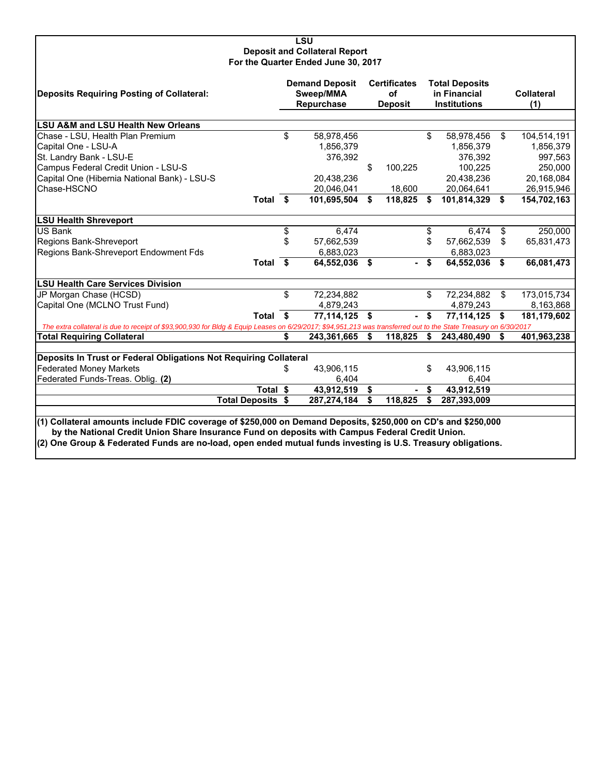#### **LSU Deposit and Collateral Report For the Quarter Ended June 30, 2017**

| <b>Deposits Requiring Posting of Collateral:</b>                                                                                                                                                                | <b>Demand Deposit</b><br>Sweep/MMA<br>Repurchase |              | <b>Certificates</b><br>οf<br><b>Deposit</b> |      | <b>Total Deposits</b><br>in Financial<br><b>Institutions</b> | <b>Collateral</b><br>(1) |
|-----------------------------------------------------------------------------------------------------------------------------------------------------------------------------------------------------------------|--------------------------------------------------|--------------|---------------------------------------------|------|--------------------------------------------------------------|--------------------------|
| <b>LSU A&amp;M and LSU Health New Orleans</b>                                                                                                                                                                   |                                                  |              |                                             |      |                                                              |                          |
| Chase - LSU, Health Plan Premium                                                                                                                                                                                | \$<br>58,978,456                                 |              |                                             | \$   | 58,978,456                                                   | \$<br>104,514,191        |
| Capital One - LSU-A                                                                                                                                                                                             | 1,856,379                                        |              |                                             |      | 1,856,379                                                    | 1,856,379                |
| St. Landry Bank - LSU-E                                                                                                                                                                                         | 376,392                                          |              |                                             |      | 376,392                                                      | 997,563                  |
| Campus Federal Credit Union - LSU-S                                                                                                                                                                             |                                                  | \$           | 100,225                                     |      | 100,225                                                      | 250,000                  |
| Capital One (Hibernia National Bank) - LSU-S                                                                                                                                                                    | 20,438,236                                       |              |                                             |      | 20,438,236                                                   | 20,168,084               |
| Chase-HSCNO                                                                                                                                                                                                     | 20,046,041                                       |              | 18,600                                      |      | 20,064,641                                                   | 26,915,946               |
| Total \$                                                                                                                                                                                                        | 101,695,504                                      | \$           | 118,825                                     | S    | 101,814,329                                                  | \$<br>154,702,163        |
| <b>LSU Health Shreveport</b>                                                                                                                                                                                    |                                                  |              |                                             |      |                                                              |                          |
| <b>US Bank</b>                                                                                                                                                                                                  | \$<br>6,474                                      |              |                                             | \$   | 6,474                                                        | \$<br>250,000            |
| Regions Bank-Shreveport                                                                                                                                                                                         | \$<br>57,662,539                                 |              |                                             | \$.  | 57,662,539                                                   | \$<br>65,831,473         |
| Regions Bank-Shreveport Endowment Fds                                                                                                                                                                           | 6,883,023                                        |              |                                             |      | 6,883,023                                                    |                          |
| Total \$                                                                                                                                                                                                        | 64,552,036 \$                                    |              |                                             | - \$ | 64,552,036                                                   | \$<br>66,081,473         |
| <b>LSU Health Care Services Division</b>                                                                                                                                                                        |                                                  |              |                                             |      |                                                              |                          |
| JP Morgan Chase (HCSD)                                                                                                                                                                                          | \$<br>72,234,882                                 |              |                                             | \$   | 72,234,882                                                   | \$<br>173,015,734        |
| Capital One (MCLNO Trust Fund)                                                                                                                                                                                  | 4,879,243                                        |              |                                             |      | 4,879,243                                                    | 8,163,868                |
| Total \$                                                                                                                                                                                                        | 77.114.125                                       | $\mathbf{s}$ | $\sim$                                      | \$   | 77.114.125                                                   | \$<br>181,179,602        |
| The extra collateral is due to receipt of \$93,900,930 for Bldg & Equip Leases on 6/29/2017; \$94,951,213 was transferred out to the State Treasury on 6/30/2017<br><b>Total Requiring Collateral</b>           | \$<br>243,361,665                                | \$           | 118,825                                     | \$   | 243,480,490                                                  | 401,963,238              |
|                                                                                                                                                                                                                 |                                                  |              |                                             |      |                                                              |                          |
| Deposits In Trust or Federal Obligations Not Requiring Collateral                                                                                                                                               |                                                  |              |                                             |      |                                                              |                          |
| <b>Federated Money Markets</b>                                                                                                                                                                                  | \$<br>43,906,115                                 |              |                                             | \$   | 43,906,115                                                   |                          |
| Federated Funds-Treas. Oblig. (2)                                                                                                                                                                               | 6,404                                            |              |                                             |      | 6.404                                                        |                          |
| Total \$                                                                                                                                                                                                        | 43,912,519                                       | \$           | ۰                                           | \$   | 43,912,519                                                   |                          |
| <b>Total Deposits \$</b>                                                                                                                                                                                        | 287,274,184                                      | \$           | 118,825                                     | \$   | 287,393,009                                                  |                          |
| (1) Collateral amounts include FDIC coverage of \$250,000 on Demand Deposits, \$250,000 on CD's and \$250,000                                                                                                   |                                                  |              |                                             |      |                                                              |                          |
| by the National Credit Union Share Insurance Fund on deposits with Campus Federal Credit Union.<br>(2) One Group & Federated Funds are no-load, open ended mutual funds investing is U.S. Treasury obligations. |                                                  |              |                                             |      |                                                              |                          |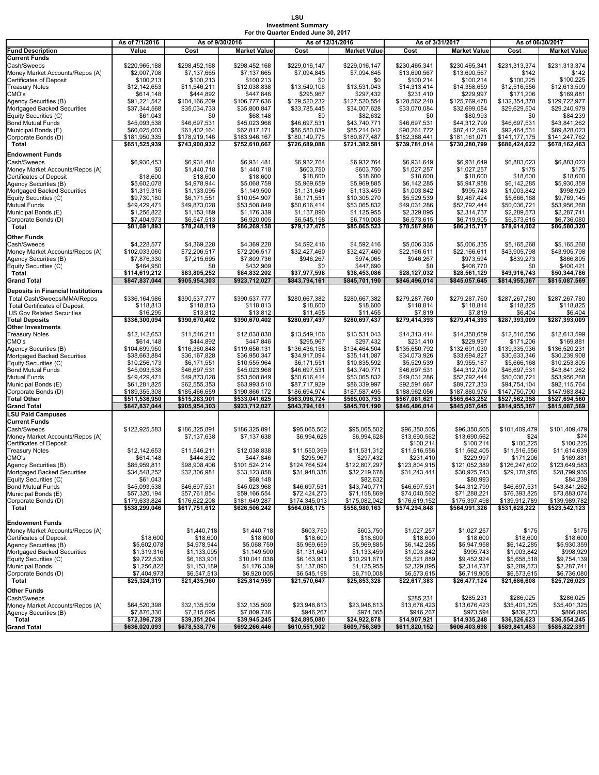#### **LSU Investment Summary For the Quarter Ended June 30, 2017**

|                                                      | As of 7/1/2016                | As of 9/30/2016               |                               | As of 12/31/2016              |                               |                               | As of 3/31/2017               | As of 06/30/2017              |                               |  |
|------------------------------------------------------|-------------------------------|-------------------------------|-------------------------------|-------------------------------|-------------------------------|-------------------------------|-------------------------------|-------------------------------|-------------------------------|--|
| <b>Fund Description</b>                              | Value                         | Cost                          | <b>Market Value</b>           | Cost                          | <b>Market Value</b>           | Cost                          | <b>Market Value</b>           | Cost                          | <b>Market Value</b>           |  |
| Current Funds                                        |                               |                               |                               |                               |                               |                               |                               |                               |                               |  |
| Cash/Sweeps                                          | \$220,965,188                 | \$298,452,168                 | \$298,452,168                 | \$229,016,147                 | \$229,016,147                 | \$230,465,341                 | \$230,465,341                 | \$231.313.374                 | \$231.313.374                 |  |
| Money Market Accounts/Repos (A)                      | \$2,007,708                   | \$7,137,665                   | \$7,137,665                   | \$7,094,845                   | \$7,094,845                   | \$13,690,567                  | \$13,690,567                  | \$142                         | \$142                         |  |
| Certificates of Deposit                              | \$100,213                     | \$100,213                     | \$100,213                     | \$0                           | \$0                           | \$100,214                     | \$100,214                     | \$100,225                     | \$100,225                     |  |
| <b>Treasury Notes</b>                                | \$12,142,653                  | \$11,546,211                  | \$12,038,838                  | \$13,549,106                  | \$13,531,043                  | \$14,313,414                  | \$14,358,659                  | \$12,516,556                  | \$12,613,599                  |  |
| CMO's                                                | \$614,148                     | \$444,892                     | \$447,846                     | \$295,967                     | \$297,432                     | \$231,410                     | \$229,997                     | \$171,206                     | \$169,881                     |  |
| Agency Securities (B)                                | \$91,221,542                  | \$104,166,209                 | \$106,777,636                 | \$129,520,232                 | \$127,520,554                 | \$128,562,240                 | \$125,769,478                 | \$132,354,378                 | \$129,722,977                 |  |
| Mortgaged Backed Securities                          | \$37,344,568                  | \$35,034,733                  | \$35,800,847                  | \$33,785,445                  | \$34,007,628                  | \$33,070,084                  | \$32,699,084                  | \$29,629,504                  | \$29,240,979                  |  |
| Equity Securities (C)                                | \$61,043                      | \$0                           | \$68,148                      | \$0                           | \$82,632                      | \$0                           | \$80,993                      | \$0                           | \$84,239                      |  |
| <b>Bond Mutual Funds</b>                             | \$45,093,538                  | \$46,697,531                  | \$45,023,968                  | \$46,697,531                  | \$43,740,771                  | \$46,697,531                  | \$44,312,799                  | \$46,697,531                  | \$43,841,262                  |  |
| Municipal Bonds (E)                                  | \$60,025,003                  | \$61,402,164                  | \$62,817,171                  | \$86,580,039                  | \$85,214,042                  | \$90,261,772                  | \$87,412,596                  | \$92,464,531                  | \$89,828,023                  |  |
| Corporate Bonds (D)                                  | \$181,950,335                 | \$178,919,146                 | \$183,946,167                 | \$180,149,776                 | \$180,877,487                 | \$182,388,441                 | \$181,161,071                 | \$141,177,175                 | \$141,247,762                 |  |
| Total                                                | \$651,525,939                 | \$743,900,932                 | \$752,610,667                 | \$726,689,088                 | \$721,382,581                 | \$739,781,014                 | \$730,280,799                 | \$686,424,622                 | \$678,162,463                 |  |
| <b>Endowment Funds</b>                               |                               |                               |                               |                               |                               |                               |                               |                               |                               |  |
| Cash/Sweeps                                          | \$6,930,453                   | \$6,931,481                   | \$6,931,481                   | \$6,932,764                   | \$6,932,764                   | \$6,931,649                   | \$6,931,649                   | \$6,883,023                   | \$6,883,023                   |  |
| Money Market Accounts/Repos (A)                      | \$0                           | \$1,440,718                   | \$1,440,718                   | \$603,750                     | \$603,750                     | \$1,027,257                   | \$1,027,257                   | \$175                         | \$175                         |  |
| Certificates of Deposit                              | \$18,600                      | \$18,600                      | \$18,600                      | \$18,600                      | \$18,600                      | \$18,600                      | \$18,600                      | \$18,600                      | \$18,600                      |  |
| Agency Securities (B)                                | \$5,602,078                   | \$4,978,944                   | \$5,068,759                   | \$5,969,659                   | \$5,969,885                   | \$6,142,285                   | \$5,947,958                   | \$6,142,285                   | \$5,930,359                   |  |
| Mortgaged Backed Securities                          | \$1,319,316                   | \$1,133,095                   | \$1,149,500                   | \$1,131,649                   | \$1,133,459                   | \$1,003,842                   | \$995,743                     | \$1,003,842                   | \$998,929                     |  |
| Equity Securities (C)                                | \$9,730,180                   | \$6,171,551                   | \$10,054,907                  | \$6,171,551                   | \$10,305,270                  | \$5,529,539                   | \$9,467,424                   | \$5,666,168                   | \$9,769,145                   |  |
| Mutual Funds                                         | \$49,429,471                  | \$49,873,028                  | \$53,508,849                  | \$50,616,414                  | \$53,065,832                  | \$49,031,286                  | \$52,792,444                  | \$50,036,721                  | \$53,956,268                  |  |
| Municipal Bonds (E)                                  | \$1,256,822                   | \$1,153,189                   | \$1,176,339                   | \$1,137,890                   | \$1,125,955                   | \$2,329,895                   | \$2,314,737                   | \$2,289,573                   | \$2,287,741                   |  |
| Corporate Bonds (D)                                  | \$7,404,973                   | \$6,547,513                   | \$6,920,005                   | \$6,545,198                   | \$6,710,008                   | \$6,573,615                   | \$6,719,905                   | \$6,573,615                   | \$6,736,080                   |  |
| Total                                                | \$81,691,893                  | \$78,248,119                  | \$86,269,158                  | \$79,127,475                  | \$85,865,523                  | \$78,587,968                  | \$86,215,717                  | \$78,614,002                  | \$86,580,320                  |  |
| <b>Other Funds</b>                                   |                               |                               |                               |                               |                               |                               |                               |                               |                               |  |
| Cash/Sweeps                                          | \$4,228,577                   | \$4,369,228                   | \$4,369,228                   | \$4,592,416                   | \$4,592,416                   | \$5,006.335                   | \$5,006,335                   | \$5,165,268                   | \$5,165,268                   |  |
| Money Market Accounts/Repos (A)                      | \$102,033,060                 | \$72,206,517                  | \$72,206,517                  | \$32,427,460                  | \$32,427,460                  | \$22,166,611                  | \$22,166,611                  | \$43,905,798                  | \$43.905.798                  |  |
| Agency Securities (B)                                | \$7,876,330                   | \$7,215,695                   | \$7,809,736                   | \$946,267                     | \$974,065                     | \$946,267                     | \$973,594                     | \$839,273                     | \$866,895                     |  |
| Equity Securities (C)                                | \$464,950                     | \$0                           | \$432,909                     | \$0                           | \$447,690                     | \$0                           | \$406,770                     | \$0                           | \$400,421                     |  |
| Total                                                | \$114,619,212                 | \$83,805,252                  | \$84,832,202                  | \$37,977,598                  | \$38,453,086                  | \$28,127,032                  | \$28,561,129                  | \$49,916,743                  | \$50,344,786                  |  |
| <b>Grand Total</b>                                   | \$847,837,044                 | \$905,954,303                 | \$923,712,027                 | \$843,794,161                 | \$845,701,190                 | \$846,496,014                 | \$845,057,645                 | \$814,955,367                 | \$815,087,569                 |  |
| <b>Deposits in Financial Institutions</b>            |                               |                               |                               |                               |                               |                               |                               |                               |                               |  |
| <b>Total Cash/Sweeps/MMA/Repos</b>                   | \$336,164,986                 | \$390,537,777                 | \$390.537.777                 | \$280.667.382                 | \$280,667,382                 | \$279,287,760                 | \$279.287.760                 | \$287,267,780                 | \$287,267,780                 |  |
| <b>Total Certificates of Deposit</b>                 | \$118,813                     | \$118,813                     | \$118,813                     | \$18,600                      | \$18,600                      | \$118,814                     | \$118,814                     | \$118,825                     | \$118,825                     |  |
| <b>US Gov Related Securities</b>                     | \$16,295                      | \$13,812                      | \$13,812                      | \$11,455                      | \$11,455                      | \$7,819                       | \$7,819                       | \$6,404                       | \$6,404                       |  |
| <b>Total Deposits</b>                                | \$336,300,094                 | \$390,670,402                 | \$390,670,402                 | \$280,697,437                 | \$280,697,437                 | $\overline{$279,414,393}$     | \$279,414,393                 | \$287,393,009                 | \$287,393,009                 |  |
| Other Investments                                    |                               |                               |                               |                               |                               |                               |                               |                               |                               |  |
| <b>Treasury Notes</b>                                | \$12,142,653                  | \$11,546,211                  | \$12,038,838                  | \$13,549,106                  | \$13,531,043                  | \$14,313,414                  | \$14,358,659                  | \$12,516,556                  | \$12,613,599                  |  |
| CMO's                                                | \$614,148                     | \$444,892                     | \$447,846                     | \$295,967                     | \$297,432                     | \$231,410                     | \$229,997                     | \$171,206                     | \$169,881                     |  |
| Agency Securities (B)                                | \$104,699,950                 | \$116,360,848                 | \$119,656,131                 | \$136,436,158                 | \$134,464,504                 | \$135,650,792                 | \$132,691,030                 | \$139,335,936                 | \$136,520,231                 |  |
| Mortgaged Backed Securities                          | \$38,663,884                  | \$36,167,828                  | \$36,950,347                  | \$34,917,094                  | \$35,141,087                  | \$34,073,926                  | \$33,694,827                  | \$30,633,346                  | \$30,239,908                  |  |
| Equity Securities (C)                                | \$10,256,173                  | \$6,171,551                   | \$10,555,964                  | \$6,171,551                   | \$10,835,592                  | \$5,529,539                   | \$9,955,187                   | \$5,666,168                   | \$10,253,805                  |  |
| <b>Bond Mutual Funds</b>                             | \$45,093,538                  | \$46,697,531                  | \$45,023,968                  | \$46,697,531                  | \$43,740,771                  | \$46,697,531                  | \$44,312,799                  | \$46,697,531                  | \$43,841,262                  |  |
| Mutual Funds                                         | \$49,429,471                  | \$49,873,028                  | \$53,508,849                  | \$50,616,414                  | \$53,065,832                  | \$49,031,286                  | \$52,792,444                  | \$50,036,721                  | \$53,956,268                  |  |
| Municipal Bonds (E)<br>Corporate Bonds (D)           | \$61,281,825<br>\$189,355,308 | \$62,555,353<br>\$185,466,659 | \$63,993,510<br>\$190,866,172 | \$87,717,929<br>\$186,694,974 | \$86,339,997<br>\$187,587,495 | \$92,591,667<br>\$188,962,056 | \$89,727,333<br>\$187,880,976 | \$94,754,104<br>\$147,750,790 | \$92,115,764<br>\$147,983,842 |  |
| <b>Total Other</b>                                   | \$511,536,950                 | \$515,283,901                 | \$533,041,625                 | \$563,096,724                 | \$565,003,753                 | \$567,081,621                 | \$565,643,252                 | \$527,562,358                 | \$527,694,560                 |  |
| Grand Total                                          | \$847,837,044                 | \$905,954,303                 | \$923,712,027                 | \$843,794,161                 | \$845,701,190                 | \$846,496,014                 | \$845,057,645                 | \$814,955,367                 | \$815,087,569                 |  |
| <b>LSU Paid Campuses</b>                             |                               |                               |                               |                               |                               |                               |                               |                               |                               |  |
| <b>Current Funds</b>                                 |                               |                               |                               |                               |                               |                               |                               |                               |                               |  |
| Cash/Sweeps                                          | \$122,925,583                 | \$186,325,891                 | \$186.325.891                 | \$95,065,502                  | \$95,065,502                  | \$96,350,505                  | \$96,350,505                  | \$101.409.479                 | \$101,409,479                 |  |
| Money Market Accounts/Repos (A)                      |                               | \$7,137,638                   | \$7,137,638                   | \$6,994,628                   | \$6,994,628                   | \$13,690,562                  | \$13,690,562                  | \$24                          | \$24                          |  |
| Certificates of Deposit                              |                               |                               |                               |                               |                               | \$100,214                     | \$100,214                     | \$100,225                     | \$100,225                     |  |
| <b>Treasury Notes</b>                                | \$12,142,653                  | \$11,546,211                  | \$12,038,838                  | \$11,550,399                  | \$11,531,312                  | \$11,516,556                  | \$11,562,405                  | \$11,516,556                  | \$11,614,639                  |  |
| CMO's                                                | \$614,148                     | \$444,892                     | \$447,846                     | \$295,967                     | \$297,432                     | \$231,410                     | \$229,997                     | \$171,206                     | \$169,881                     |  |
| Agency Securities (B)                                | \$85,959,811                  | \$98,908,406                  | \$101,524,214                 | \$124,764,524                 | \$122,807,297                 | \$123,804,915                 | \$121,052,389                 | \$126,247,602                 | \$123,649,583                 |  |
| Mortgaged Backed Securities                          | \$34,548,252                  | \$32,306,981                  | \$33,123,858                  | \$31,948,338                  | \$32,219,678                  | \$31,243,441                  | \$30,925,743                  | \$29,178,985                  | \$28,799,935                  |  |
| Equity Securities (C)                                | \$61,043                      |                               | \$68,148                      |                               | \$82,632                      |                               | \$80,993                      |                               | \$84,239                      |  |
| <b>Bond Mutual Funds</b>                             | \$45,093,538                  | \$46,697,531                  | \$45,023,968                  | \$46,697,531                  | \$43,740,771                  | \$46,697,531                  | \$44,312,799                  | \$46,697,531                  | \$43,841,262                  |  |
| Municipal Bonds (E)                                  | \$57,320,194                  | \$57,761,854                  | \$59,166,554                  | \$72,424,273                  | \$71,158,869                  | \$74,040,562                  | \$71,288,221                  | \$76,393,825                  | \$73,883,074                  |  |
| Corporate Bonds (D)                                  | \$179,633,824                 | \$176,622,208                 | \$181,649,287                 | \$174,345,013                 | \$175,082,042                 | \$176,619,152                 | \$175,397,498                 | \$139,912,789                 | \$139,989,782                 |  |
| Total                                                | \$538,299,046                 | \$617,751,612                 | \$626,506,242                 | \$564,086,175                 | \$558,980,163                 | \$574,294,848                 | \$564,991,326                 | \$531,628,222                 | \$523,542,123                 |  |
|                                                      |                               |                               |                               |                               |                               |                               |                               |                               |                               |  |
| <b>Endowment Funds</b>                               |                               |                               |                               |                               |                               |                               |                               |                               |                               |  |
| Money Market Accounts/Repos (A)                      |                               | \$1,440,718                   | \$1,440,718                   | \$603,750                     | \$603,750                     | \$1,027,257                   | \$1,027,257                   | \$175                         | \$175                         |  |
| <b>Certificates of Deposit</b>                       | \$18,600                      | \$18,600<br>\$4,978,944       | \$18,600                      | \$18,600                      | \$18,600                      | \$18,600                      | \$18,600                      | \$18,600                      | \$18,600                      |  |
| Agency Securities (B)                                | \$5,602,078<br>\$1,319,316    |                               | \$5,068,759                   | \$5,969,659                   | \$5,969,885                   | \$6,142,285                   | \$5,947,958                   | \$6,142,285<br>\$1,003,842    | \$5,930,359<br>\$998,929      |  |
| Mortgaged Backed Securities<br>Equity Securities (C) | \$9,722,530                   | \$1,133,095<br>\$6,163,901    | \$1,149,500<br>\$10,041,038   | \$1,131,649<br>\$6,163,901    | \$1,133,459<br>\$10,291,671   | \$1,003,842<br>\$5,521,889    | \$995,743<br>\$9,452,924      | \$5,658,518                   | \$9,754,139                   |  |
| <b>Municipal Bonds</b>                               | \$1,256,822                   | \$1,153,189                   | \$1,176,339                   | \$1,137,890                   | \$1,125,955                   | \$2,329,895                   | \$2,314,737                   | \$2,289,573                   | \$2,287,741                   |  |
| Corporate Bonds (D)                                  | \$7,404,973                   | \$6,547,513                   | \$6,920,005                   | \$6,545,198                   | \$6,710,008                   | \$6,573,615                   | \$6,719,905                   | \$6,573,615                   | \$6,736,080                   |  |
| Total                                                | \$25,324,319                  | \$21,435,960                  | \$25,814,959                  | \$21,570,647                  | \$25,853,328                  | \$22,617,383                  | \$26,477,124                  | \$21,686,608                  | \$25,726,023                  |  |
|                                                      |                               |                               |                               |                               |                               |                               |                               |                               |                               |  |
| Other Funds                                          |                               |                               |                               |                               |                               | \$285,231                     |                               |                               |                               |  |
| Cash/Sweeps<br>Money Market Accounts/Repos (A)       | \$64,520,398                  | \$32,135,509                  | \$32,135,509                  | \$23,948,813                  | \$23,948,813                  |                               | \$285,231<br>\$13,676,423     | \$286,025<br>\$35,401,325     | \$286,025<br>\$35,401,325     |  |
| Agency Securities (B)                                | \$7,876,330                   | \$7,215,695                   | \$7,809,736                   | \$946,267                     | \$974,065                     | \$13,676,423<br>\$946,267     | \$973,594                     | \$839,273                     | \$866,895                     |  |
| Total                                                | \$72,396,728                  | \$39,351,204                  | \$39,945,245                  | \$24,895,080                  | \$24,922,878                  | \$14,907,921                  | \$14,935,248                  | \$36,526,623                  | \$36,554,245                  |  |
| <b>Grand Total</b>                                   | \$636,020,093                 | \$678,538,776                 | \$692,266,446                 | \$610,551,902                 | \$609,756,369                 | \$611,820,152                 | \$606,403,698                 | \$589,841,453                 | \$585,822,391                 |  |
|                                                      |                               |                               |                               |                               |                               |                               |                               |                               |                               |  |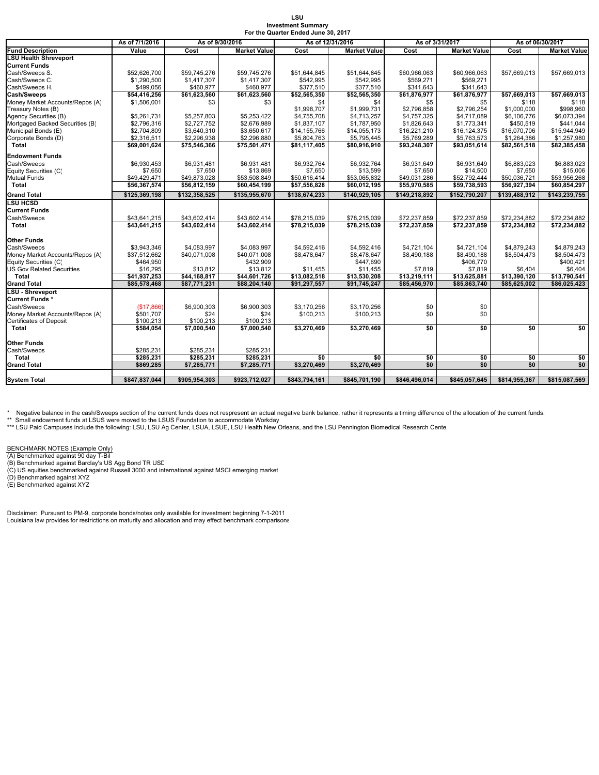#### **LSU Investment Summary For the Quarter Ended June 30, 2017**

|                                 | As of 7/1/2016 | As of 9/30/2016 |                     | As of 12/31/2016             |                              | As of 3/31/2017 |                     | As of 06/30/2017 |                     |  |
|---------------------------------|----------------|-----------------|---------------------|------------------------------|------------------------------|-----------------|---------------------|------------------|---------------------|--|
| <b>Fund Description</b>         | Value          | Cost            | <b>Market Value</b> | Cost                         | <b>Market Value</b>          | Cost            | <b>Market Value</b> | Cost             | <b>Market Value</b> |  |
| <b>LSU Health Shreveport</b>    |                |                 |                     |                              |                              |                 |                     |                  |                     |  |
| <b>Current Funds</b>            |                |                 |                     |                              |                              |                 |                     |                  |                     |  |
| Cash/Sweeps S.                  | \$52,626,700   | \$59,745,276    | \$59,745,276        | \$51,644,845                 | \$51,644,845                 | \$60,966,063    | \$60,966,063        | \$57,669,013     | \$57,669,013        |  |
| Cash/Sweeps C.                  | \$1,290,500    | \$1,417,307     | \$1,417,307         | \$542,995                    | \$542,995                    | \$569.271       | \$569,271           |                  |                     |  |
| Cash/Sweeps H.                  | \$499,056      | \$460,977       | \$460,977           | \$377,510                    | \$377,510                    | \$341,643       | \$341,643           |                  |                     |  |
| Cash/Sweeps                     | \$54,416,256   | \$61,623,560    | \$61,623,560        | \$52,565,350                 | \$52,565,350                 | \$61,876,977    | \$61,876,977        | \$57,669,013     | \$57,669,013        |  |
| Money Market Accounts/Repos (A) | \$1,506,001    | \$3             | \$3                 | \$4                          | \$4                          | \$5             | \$5                 | \$118            | \$118               |  |
| Treasury Notes (B)              |                |                 |                     | \$1,998,707                  | \$1,999,731                  | \$2,796,858     | \$2,796,254         | \$1,000,000      | \$998,960           |  |
| Agency Securities (B)           | \$5,261,731    | \$5,257,803     | \$5,253,422         | \$4,755,708                  | \$4,713,257                  | \$4,757,325     | \$4,717,089         | \$6,106,776      | \$6,073,394         |  |
| Mortgaged Backed Securities (B) | \$2,796,316    | \$2,727,752     | \$2,676,989         | \$1,837,107                  | \$1,787,950                  | \$1,826,643     | \$1,773,341         | \$450,519        | \$441,044           |  |
| Municipal Bonds (E)             | \$2,704,809    | \$3,640,310     | \$3,650,617         | \$14,155,766                 | \$14,055,173                 | \$16,221,210    | \$16,124,375        | \$16,070,706     | \$15,944,949        |  |
| Corporate Bonds (D)             | \$2,316,511    | \$2,296,938     | \$2,296,880         | \$5,804,763                  | \$5,795,445                  | \$5,769,289     | \$5,763,573         | \$1,264,386      | \$1,257,980         |  |
| Total                           | \$69,001,624   | \$75,546,366    | \$75,501,471        | \$81,117,405                 | \$80,916,910                 | \$93,248,307    | \$93,051,614        | \$82,561,518     | \$82,385,458        |  |
| <b>Endowment Funds</b>          |                |                 |                     |                              |                              |                 |                     |                  |                     |  |
| Cash/Sweeps                     | \$6,930,453    | \$6,931,481     | \$6,931,481         | \$6,932,764                  | \$6,932,764                  | \$6,931,649     | \$6,931,649         | \$6,883,023      | \$6,883,023         |  |
| Equity Securities (C)           | \$7,650        | \$7,650         | \$13,869            | \$7,650                      | \$13,599                     | \$7,650         | \$14,500            | \$7,650          | \$15,006            |  |
| <b>Mutual Funds</b>             | \$49.429.471   | \$49,873,028    | \$53,508,849        | \$50.616.414                 | \$53.065.832                 | \$49.031.286    | \$52,792,444        | \$50,036,721     | \$53,956,268        |  |
| Total                           | \$56,367,574   | \$56,812,159    | \$60,454,199        | \$57,556,828                 | \$60,012,195                 | \$55,970,585    | \$59,738,593        | \$56,927,394     | \$60,854,297        |  |
| <b>Grand Total</b>              | \$125,369,198  | \$132,358,525   | \$135,955,670       | \$138,674,233                | \$140,929,105                | \$149,218,892   | \$152,790,207       | \$139,488,912    | \$143,239,755       |  |
| <b>LSU HCSD</b>                 |                |                 |                     |                              |                              |                 |                     |                  |                     |  |
| <b>Current Funds</b>            |                |                 |                     |                              |                              |                 |                     |                  |                     |  |
|                                 |                |                 |                     |                              |                              |                 |                     |                  |                     |  |
| Cash/Sweeps                     | \$43,641,215   | \$43,602,414    | \$43,602,414        | \$78,215,039                 | \$78,215,039                 | \$72,237,859    | \$72,237,859        | \$72,234,882     | \$72,234,882        |  |
| Total                           | \$43,641,215   | \$43,602,414    | \$43,602,414        | \$78,215,039                 | \$78,215,039                 | \$72,237,859    | \$72,237,859        | \$72,234,882     | \$72,234,882        |  |
| Other Funds                     |                |                 |                     |                              |                              |                 |                     |                  |                     |  |
|                                 |                |                 |                     |                              |                              |                 |                     |                  |                     |  |
| Cash/Sweeps                     | \$3,943,346    | \$4,083,997     | \$4,083,997         | \$4,592,416                  | \$4,592,416                  | \$4,721,104     | \$4,721,104         | \$4,879,243      | \$4,879,243         |  |
| Money Market Accounts/Repos (A) | \$37,512,662   | \$40,071,008    | \$40,071,008        | \$8,478,647                  | \$8,478,647                  | \$8,490,188     | \$8,490,188         | \$8,504,473      | \$8,504,473         |  |
| Equity Securities (C)           | \$464,950      |                 | \$432,909           |                              | \$447,690                    |                 | \$406,770           |                  | \$400,421           |  |
| US Gov Related Securities       | \$16,295       | \$13,812        | \$13,812            | \$11,455                     | \$11,455                     | \$7,819         | \$7,819             | \$6,404          | \$6,404             |  |
| <b>Total</b>                    | \$41,937,253   | \$44,168,817    | \$44,601,726        | \$13,082,518<br>\$91,297,557 | \$13,530,208<br>\$91,745,247 | \$13,219,111    | \$13,625,881        | \$13,390,120     | \$13,790,541        |  |
| <b>Grand Total</b>              | \$85,578,468   | \$87,771,231    | \$88,204,140        |                              |                              | \$85,456,970    | \$85,863,740        | \$85,625,002     | \$86,025,423        |  |
| LSU - Shreveport                |                |                 |                     |                              |                              |                 |                     |                  |                     |  |
| Current Funds*                  |                |                 |                     |                              |                              |                 |                     |                  |                     |  |
| Cash/Sweeps                     | (\$17,866)     | \$6,900,303     | \$6,900,303         | \$3,170,256                  | \$3,170,256                  | \$0             | \$0                 |                  |                     |  |
| Money Market Accounts/Repos (A) | \$501,707      | \$24            | \$24                | \$100,213                    | \$100,213                    | \$0             | \$0                 |                  |                     |  |
| Certificates of Deposit         | \$100,213      | \$100,213       | \$100,213           |                              |                              |                 |                     |                  |                     |  |
| Total                           | \$584,054      | \$7,000,540     | \$7.000.540         | \$3,270,469                  | \$3,270.469                  | \$0             | \$0                 | \$0              | \$0                 |  |
|                                 |                |                 |                     |                              |                              |                 |                     |                  |                     |  |
| Other Funds                     |                |                 |                     |                              |                              |                 |                     |                  |                     |  |
| Cash/Sweeps                     | \$285,231      | \$285,231       | \$285,231           |                              |                              |                 |                     |                  |                     |  |
| Total                           | \$285,231      | \$285,231       | \$285,231           | \$0                          | $\overline{50}$              | \$0             | \$0                 | \$0              | \$0                 |  |
| <b>Grand Total</b>              | \$869,285      | \$7,285,771     | \$7,285,771         | \$3,270,469                  | \$3,270,469                  | \$0             | \$0                 | \$0              | \$0                 |  |
|                                 |                |                 |                     |                              |                              |                 |                     |                  |                     |  |

\* Negative balance in the cash/Sweeps section of the current funds does not respresent an actual negative bank balance, rather it represents a timing difference of the allocation of the current funds.

\*\* Small endowment funds at LSUS were moved to the LSUS Foundation to accommodate Workday<br>\*\*\* LSU Paid Campuses include the following: LSU, LSU Ag Center, LSUA, LSUE, LSU Health New Orleans, and the LSU Pennington Biomedic

BENCHMARK NOTES (Example Only)<br>(A) Benchmarked against 90 day T-Bil<br>(B) Benchmarked against Barclay's US Agg Bond TR USD<br>(C) US equities benchmarked against Russell 3000 and international against MSCI emerging market<br>(D) B

Disclaimer: Pursuant to PM-9, corporate bonds/notes only available for investment beginning 7-1-2011 Louisiana law provides for restrictions on maturity and allocation and may effect benchmark comparisons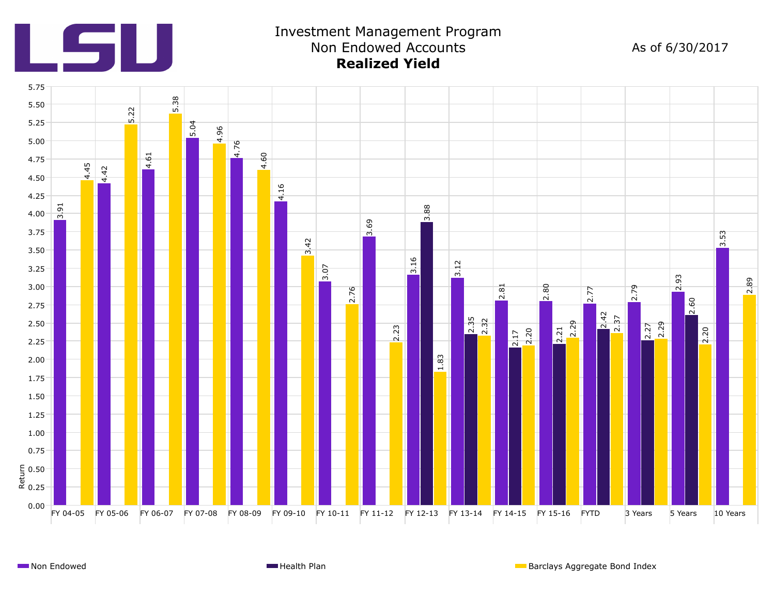

# Investment Management Program Non Endowed Accounts **Realized Yield**

As of 6/30/2017

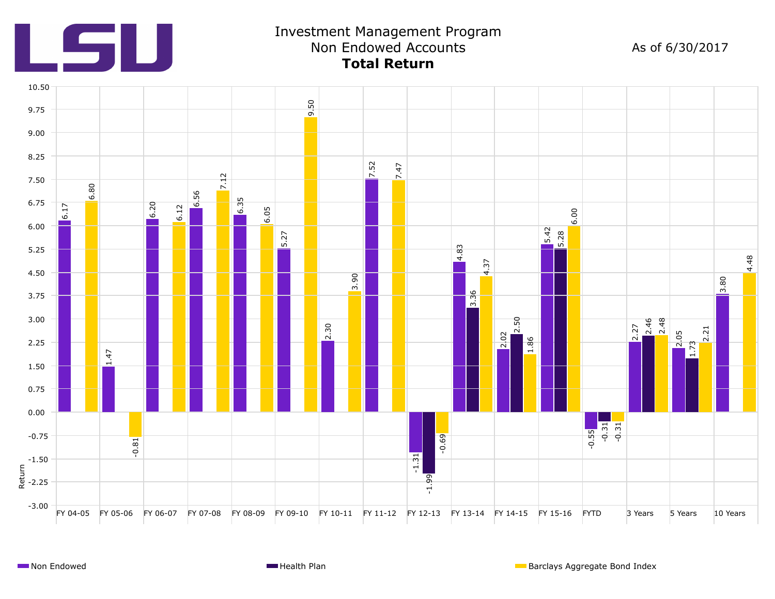

# Investment Management Program Non Endowed Accounts **Total Return**

As of 6/30/2017

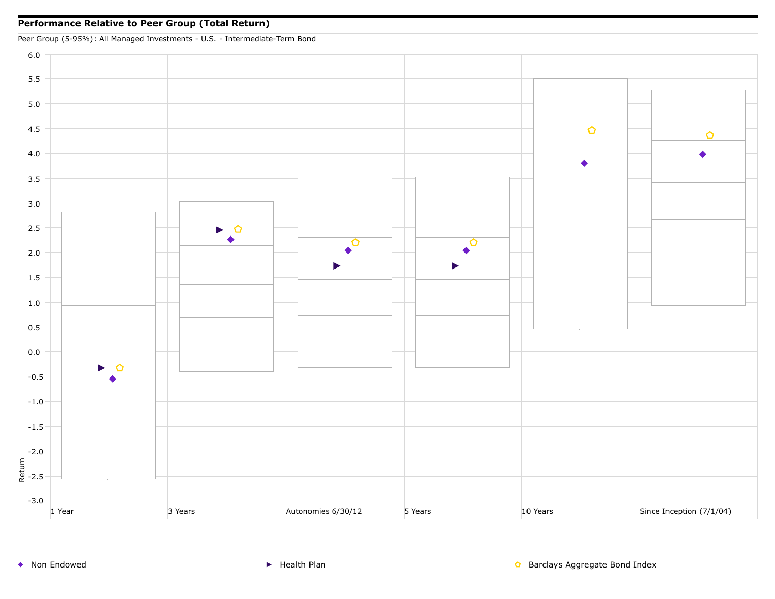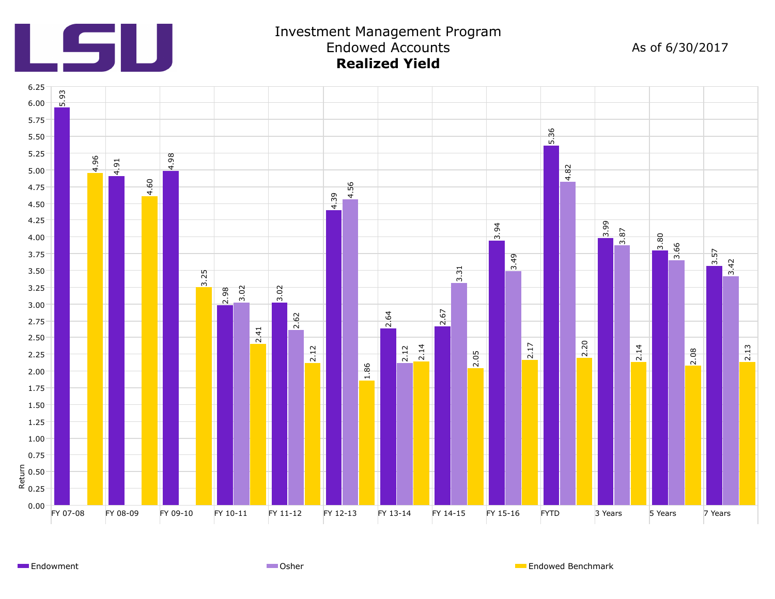

### Investment Management Program Endowed Accounts **Realized Yield**

As of 6/30/2017



Endowment **Endowed Benchmark** Communication Communication Communication Communication Communication Communication Communication Communication Communication Communication Communication Communication Communication Communicat